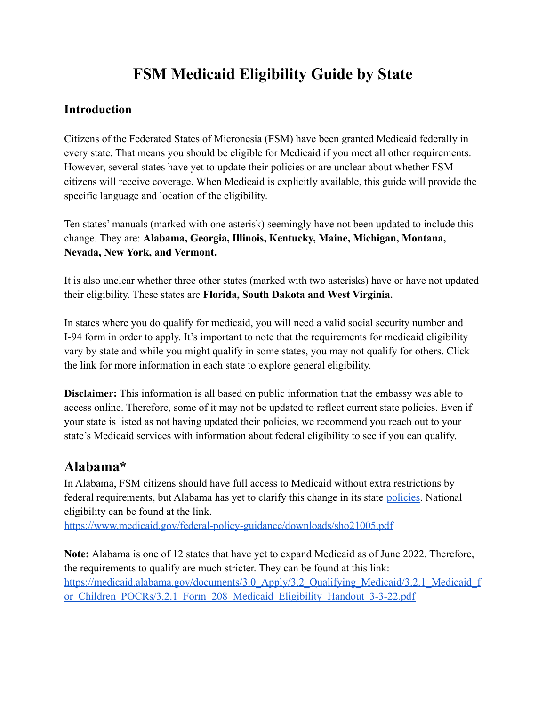# **FSM Medicaid Eligibility Guide by State**

#### **Introduction**

Citizens of the Federated States of Micronesia (FSM) have been granted Medicaid federally in every state. That means you should be eligible for Medicaid if you meet all other requirements. However, several states have yet to update their policies or are unclear about whether FSM citizens will receive coverage. When Medicaid is explicitly available, this guide will provide the specific language and location of the eligibility.

Ten states' manuals (marked with one asterisk) seemingly have not been updated to include this change. They are: **Alabama, Georgia, Illinois, Kentucky, Maine, Michigan, Montana, Nevada, New York, and Vermont.**

It is also unclear whether three other states (marked with two asterisks) have or have not updated their eligibility. These states are **Florida, South Dakota and West Virginia.**

In states where you do qualify for medicaid, you will need a valid social security number and I-94 form in order to apply. It's important to note that the requirements for medicaid eligibility vary by state and while you might qualify in some states, you may not qualify for others. Click the link for more information in each state to explore general eligibility.

**Disclaimer:** This information is all based on public information that the embassy was able to access online. Therefore, some of it may not be updated to reflect current state policies. Even if your state is listed as not having updated their policies, we recommend you reach out to your state's Medicaid services with information about federal eligibility to see if you can qualify.

### **Alabama\***

In Alabama, FSM citizens should have full access to Medicaid without extra restrictions by federal requirements, but Alabama has yet to clarify this change in its state [policies](https://medicaid.alabama.gov/documents/9.0_Resources/9.2_Administrative_Code/9.2_Adm_Code_Chap_25_Eligibility_10-26-18.pdf). National eligibility can be found at the link.

<https://www.medicaid.gov/federal-policy-guidance/downloads/sho21005.pdf>

**Note:** Alabama is one of 12 states that have yet to expand Medicaid as of June 2022. Therefore, the requirements to qualify are much stricter. They can be found at this link: [https://medicaid.alabama.gov/documents/3.0\\_Apply/3.2\\_Qualifying\\_Medicaid/3.2.1\\_Medicaid\\_f](https://medicaid.alabama.gov/documents/3.0_Apply/3.2_Qualifying_Medicaid/3.2.1_Medicaid_for_Children_POCRs/3.2.1_Form_208_Medicaid_Eligibility_Handout_3-3-22.pdf) or Children POCRs/3.2.1 Form 208 Medicaid Eligibility Handout 3-3-22.pdf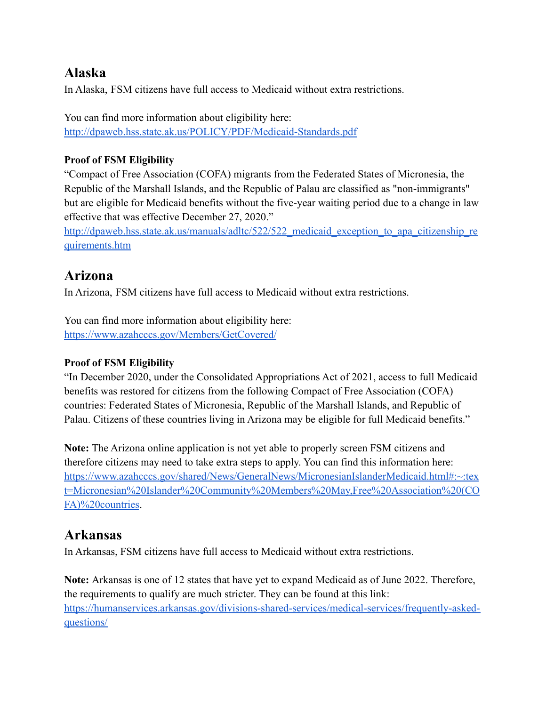### **Alaska**

In Alaska, FSM citizens have full access to Medicaid without extra restrictions.

You can find more information about eligibility here: <http://dpaweb.hss.state.ak.us/POLICY/PDF/Medicaid-Standards.pdf>

#### **Proof of FSM Eligibility**

"Compact of Free Association (COFA) migrants from the Federated States of Micronesia, the Republic of the Marshall Islands, and the Republic of Palau are classified as "non-immigrants" but are eligible for Medicaid benefits without the five-year waiting period due to a change in law effective that was effective December 27, 2020."

http://dpaweb.hss.state.ak.us/manuals/adltc/522/522 medicaid exception to apa citizenship re [quirements.htm](http://dpaweb.hss.state.ak.us/manuals/adltc/522/522_medicaid_exception_to_apa_citizenship_requirements.htm)

### **Arizona**

In Arizona, FSM citizens have full access to Medicaid without extra restrictions.

You can find more information about eligibility here: <https://www.azahcccs.gov/Members/GetCovered/>

#### **Proof of FSM Eligibility**

"In December 2020, under the Consolidated Appropriations Act of 2021, access to full Medicaid benefits was restored for citizens from the following Compact of Free Association (COFA) countries: Federated States of Micronesia, Republic of the Marshall Islands, and Republic of Palau. Citizens of these countries living in Arizona may be eligible for full Medicaid benefits."

**Note:** The Arizona online application is not yet able to properly screen FSM citizens and therefore citizens may need to take extra steps to apply. You can find this information here: [https://www.azahcccs.gov/shared/News/GeneralNews/MicronesianIslanderMedicaid.html#:~:tex](https://www.azahcccs.gov/shared/News/GeneralNews/MicronesianIslanderMedicaid.html#:~:text=Micronesian%20Islander%20Community%20Members%20May,Free%20Association%20(COFA)%20countries) [t=Micronesian%20Islander%20Community%20Members%20May,Free%20Association%20\(CO](https://www.azahcccs.gov/shared/News/GeneralNews/MicronesianIslanderMedicaid.html#:~:text=Micronesian%20Islander%20Community%20Members%20May,Free%20Association%20(COFA)%20countries) [FA\)%20countries](https://www.azahcccs.gov/shared/News/GeneralNews/MicronesianIslanderMedicaid.html#:~:text=Micronesian%20Islander%20Community%20Members%20May,Free%20Association%20(COFA)%20countries).

### **Arkansas**

In Arkansas, FSM citizens have full access to Medicaid without extra restrictions.

**Note:** Arkansas is one of 12 states that have yet to expand Medicaid as of June 2022. Therefore, the requirements to qualify are much stricter. They can be found at this link: [https://humanservices.arkansas.gov/divisions-shared-services/medical-services/frequently-asked](https://humanservices.arkansas.gov/divisions-shared-services/medical-services/frequently-asked-questions/)[questions/](https://humanservices.arkansas.gov/divisions-shared-services/medical-services/frequently-asked-questions/)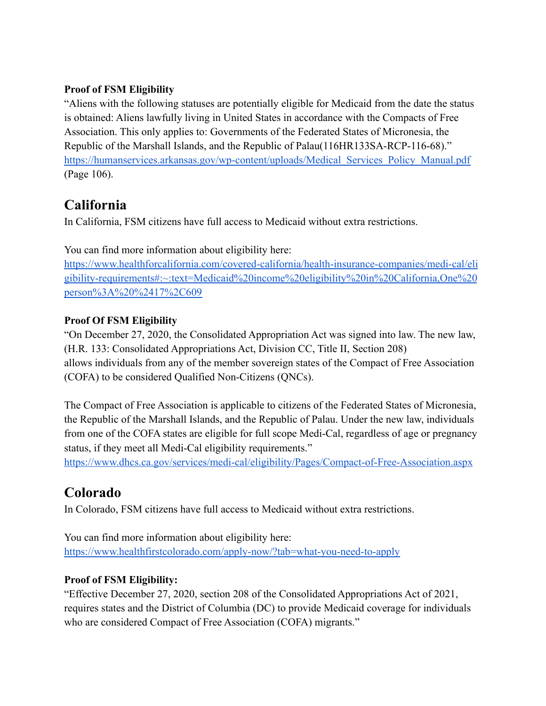#### **Proof of FSM Eligibility**

"Aliens with the following statuses are potentially eligible for Medicaid from the date the status is obtained: Aliens lawfully living in United States in accordance with the Compacts of Free Association. This only applies to: Governments of the Federated States of Micronesia, the Republic of the Marshall Islands, and the Republic of Palau(116HR133SA-RCP-116-68)." [https://humanservices.arkansas.gov/wp-content/uploads/Medical\\_Services\\_Policy\\_Manual.pdf](https://humanservices.arkansas.gov/wp-content/uploads/Medical_Services_Policy_Manual.pdf) (Page 106).

## **California**

In California, FSM citizens have full access to Medicaid without extra restrictions.

You can find more information about eligibility here: [https://www.healthforcalifornia.com/covered-california/health-insurance-companies/medi-cal/eli](https://www.healthforcalifornia.com/covered-california/health-insurance-companies/medi-cal/eligibility-requirements#:~:text=Medicaid%20income%20eligibility%20in%20California,One%20person%3A%20%2417%2C609) [gibility-requirements#:~:text=Medicaid%20income%20eligibility%20in%20California,One%20](https://www.healthforcalifornia.com/covered-california/health-insurance-companies/medi-cal/eligibility-requirements#:~:text=Medicaid%20income%20eligibility%20in%20California,One%20person%3A%20%2417%2C609) [person%3A%20%2417%2C609](https://www.healthforcalifornia.com/covered-california/health-insurance-companies/medi-cal/eligibility-requirements#:~:text=Medicaid%20income%20eligibility%20in%20California,One%20person%3A%20%2417%2C609)

#### **Proof Of FSM Eligibility**

"On December 27, 2020, the Consolidated Appropriation Act was signed into law. The new law, (H.R. 133: Consolidated Appropriations Act, Division CC, Title II, Section 208) allows individuals from any of the member sovereign states of the Compact of Free Association (COFA) to be considered Qualified Non-Citizens (QNCs).

The Compact of Free Association is applicable to citizens of the Federated States of Micronesia, the Republic of the Marshall Islands, and the Republic of Palau. Under the new law, individuals from one of the COFA states are eligible for full scope Medi-Cal, regardless of age or pregnancy status, if they meet all Medi-Cal eligibility requirements."

<https://www.dhcs.ca.gov/services/medi-cal/eligibility/Pages/Compact-of-Free-Association.aspx>

### **Colorado**

In Colorado, FSM citizens have full access to Medicaid without extra restrictions.

You can find more information about eligibility here: <https://www.healthfirstcolorado.com/apply-now/?tab=what-you-need-to-apply>

#### **Proof of FSM Eligibility:**

"Effective December 27, 2020, section 208 of the Consolidated Appropriations Act of 2021, requires states and the District of Columbia (DC) to provide Medicaid coverage for individuals who are considered Compact of Free Association (COFA) migrants."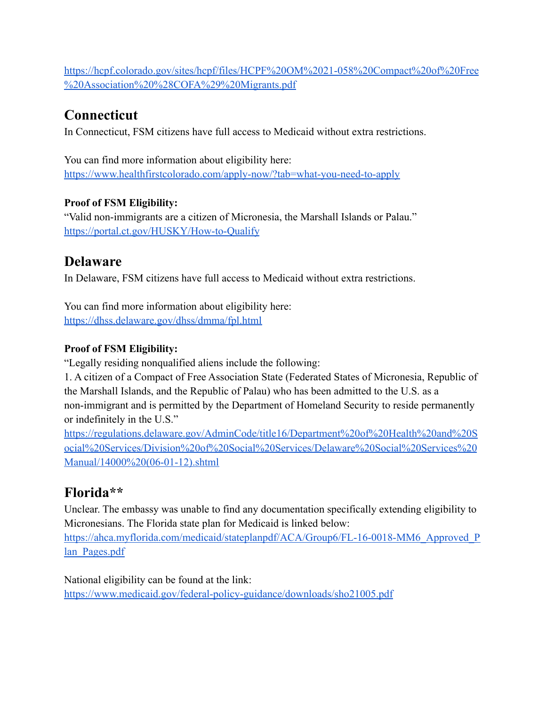[https://hcpf.colorado.gov/sites/hcpf/files/HCPF%20OM%2021-058%20Compact%20of%20Free](https://hcpf.colorado.gov/sites/hcpf/files/HCPF%20OM%2021-058%20Compact%20of%20Free%20Association%20%28COFA%29%20Migrants.pdf) [%20Association%20%28COFA%29%20Migrants.pdf](https://hcpf.colorado.gov/sites/hcpf/files/HCPF%20OM%2021-058%20Compact%20of%20Free%20Association%20%28COFA%29%20Migrants.pdf)

# **Connecticut**

In Connecticut, FSM citizens have full access to Medicaid without extra restrictions.

You can find more information about eligibility here: <https://www.healthfirstcolorado.com/apply-now/?tab=what-you-need-to-apply>

#### **Proof of FSM Eligibility:**

"Valid non-immigrants are a citizen of Micronesia, the Marshall Islands or Palau." <https://portal.ct.gov/HUSKY/How-to-Qualify>

## **Delaware**

In Delaware, FSM citizens have full access to Medicaid without extra restrictions.

You can find more information about eligibility here: <https://dhss.delaware.gov/dhss/dmma/fpl.html>

### **Proof of FSM Eligibility:**

"Legally residing nonqualified aliens include the following:

1. A citizen of a Compact of Free Association State (Federated States of Micronesia, Republic of the Marshall Islands, and the Republic of Palau) who has been admitted to the U.S. as a non-immigrant and is permitted by the Department of Homeland Security to reside permanently or indefinitely in the U.S."

[https://regulations.delaware.gov/AdminCode/title16/Department%20of%20Health%20and%20S](https://regulations.delaware.gov/AdminCode/title16/Department%20of%20Health%20and%20Social%20Services/Division%20of%20Social%20Services/Delaware%20Social%20Services%20Manual/14000%20(06-01-12).shtml) [ocial%20Services/Division%20of%20Social%20Services/Delaware%20Social%20Services%20](https://regulations.delaware.gov/AdminCode/title16/Department%20of%20Health%20and%20Social%20Services/Division%20of%20Social%20Services/Delaware%20Social%20Services%20Manual/14000%20(06-01-12).shtml) [Manual/14000%20\(06-01-12\).shtml](https://regulations.delaware.gov/AdminCode/title16/Department%20of%20Health%20and%20Social%20Services/Division%20of%20Social%20Services/Delaware%20Social%20Services%20Manual/14000%20(06-01-12).shtml)

# **Florida\*\***

Unclear. The embassy was unable to find any documentation specifically extending eligibility to Micronesians. The Florida state plan for Medicaid is linked below:

[https://ahca.myflorida.com/medicaid/stateplanpdf/ACA/Group6/FL-16-0018-MM6\\_Approved\\_P](https://ahca.myflorida.com/medicaid/stateplanpdf/ACA/Group6/FL-16-0018-MM6_Approved_Plan_Pages.pdf) lan Pages.pdf

National eligibility can be found at the link:

<https://www.medicaid.gov/federal-policy-guidance/downloads/sho21005.pdf>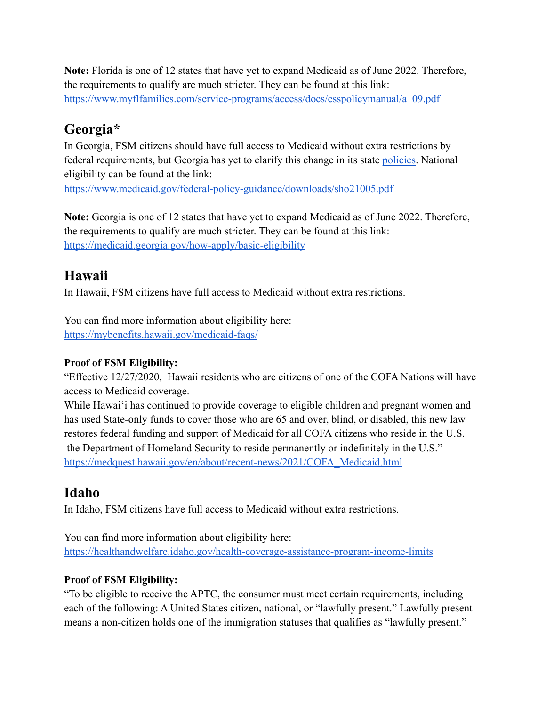**Note:** Florida is one of 12 states that have yet to expand Medicaid as of June 2022. Therefore, the requirements to qualify are much stricter. They can be found at this link: [https://www.myflfamilies.com/service-programs/access/docs/esspolicymanual/a\\_09.pdf](https://www.myflfamilies.com/service-programs/access/docs/esspolicymanual/a_09.pdf)

## **Georgia\***

In Georgia, FSM citizens should have full access to Medicaid without extra restrictions by federal requirements, but Georgia has yet to clarify this change in its state [policies](http://odis.dhs.state.ga.us/ViewDocument.aspx?docId=4001351&%3Bamp%3BverId=1). National eligibility can be found at the link:

<https://www.medicaid.gov/federal-policy-guidance/downloads/sho21005.pdf>

**Note:** Georgia is one of 12 states that have yet to expand Medicaid as of June 2022. Therefore, the requirements to qualify are much stricter. They can be found at this link: <https://medicaid.georgia.gov/how-apply/basic-eligibility>

# **Hawaii**

In Hawaii, FSM citizens have full access to Medicaid without extra restrictions.

You can find more information about eligibility here: <https://mybenefits.hawaii.gov/medicaid-faqs/>

#### **Proof of FSM Eligibility:**

"Effective 12/27/2020, Hawaii residents who are citizens of one of the COFA Nations will have access to Medicaid coverage.

While Hawai'i has continued to provide coverage to eligible children and pregnant women and has used State-only funds to cover those who are 65 and over, blind, or disabled, this new law restores federal funding and support of Medicaid for all COFA citizens who reside in the U.S. the Department of Homeland Security to reside permanently or indefinitely in the U.S." [https://medquest.hawaii.gov/en/about/recent-news/2021/COFA\\_Medicaid.html](https://medquest.hawaii.gov/en/about/recent-news/2021/COFA_Medicaid.html)

## **Idaho**

In Idaho, FSM citizens have full access to Medicaid without extra restrictions.

You can find more information about eligibility here: <https://healthandwelfare.idaho.gov/health-coverage-assistance-program-income-limits>

#### **Proof of FSM Eligibility:**

"To be eligible to receive the APTC, the consumer must meet certain requirements, including each of the following: A United States citizen, national, or "lawfully present." Lawfully present means a non-citizen holds one of the immigration statuses that qualifies as "lawfully present."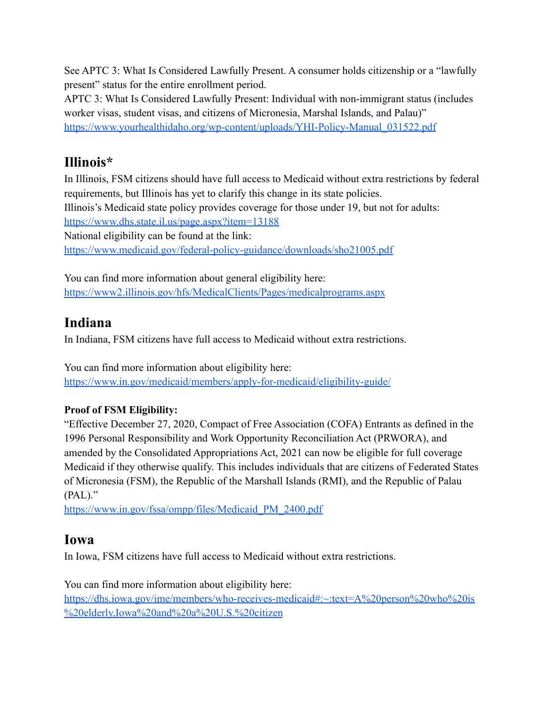See APTC 3: What Is Considered Lawfully Present. A consumer holds citizenship or a "lawfully present" status for the entire enrollment period.

APTC 3: What Is Considered Lawfully Present: Individual with non-immigrant status (includes worker visas, student visas, and citizens of Micronesia, Marshal Islands, and Palau)" [https://www.yourhealthidaho.org/wp-content/uploads/YHI-Policy-Manual\\_031522.pdf](https://www.yourhealthidaho.org/wp-content/uploads/YHI-Policy-Manual_031522.pdf)

## **Illinois\***

In Illinois, FSM citizens should have full access to Medicaid without extra restrictions by federal requirements, but Illinois has yet to clarify this change in its state policies. Illinois's Medicaid state policy provides coverage for those under 19, but not for adults: <https://www.dhs.state.il.us/page.aspx?item=13188> National eligibility can be found at the link: <https://www.medicaid.gov/federal-policy-guidance/downloads/sho21005.pdf>

You can find more information about general eligibility here: <https://www2.illinois.gov/hfs/MedicalClients/Pages/medicalprograms.aspx>

# **Indiana**

In Indiana, FSM citizens have full access to Medicaid without extra restrictions.

You can find more information about eligibility here: <https://www.in.gov/medicaid/members/apply-for-medicaid/eligibility-guide/>

#### **Proof of FSM Eligibility:**

"Effective December 27, 2020, Compact of Free Association (COFA) Entrants as defined in the 1996 Personal Responsibility and Work Opportunity Reconciliation Act (PRWORA), and amended by the Consolidated Appropriations Act, 2021 can now be eligible for full coverage Medicaid if they otherwise qualify. This includes individuals that are citizens of Federated States of Micronesia (FSM), the Republic of the Marshall Islands (RMI), and the Republic of Palau (PAL)."

[https://www.in.gov/fssa/ompp/files/Medicaid\\_PM\\_2400.pdf](https://www.in.gov/fssa/ompp/files/Medicaid_PM_2400.pdf)

# **Iowa**

In Iowa, FSM citizens have full access to Medicaid without extra restrictions.

You can find more information about eligibility here: [https://dhs.iowa.gov/ime/members/who-receives-medicaid#:~:text=A%20person%20who%20is](https://dhs.iowa.gov/ime/members/who-receives-medicaid#:~:text=A%20person%20who%20is%20elderly,Iowa%20and%20a%20U.S.%20citizen) [%20elderly,Iowa%20and%20a%20U.S.%20citizen](https://dhs.iowa.gov/ime/members/who-receives-medicaid#:~:text=A%20person%20who%20is%20elderly,Iowa%20and%20a%20U.S.%20citizen)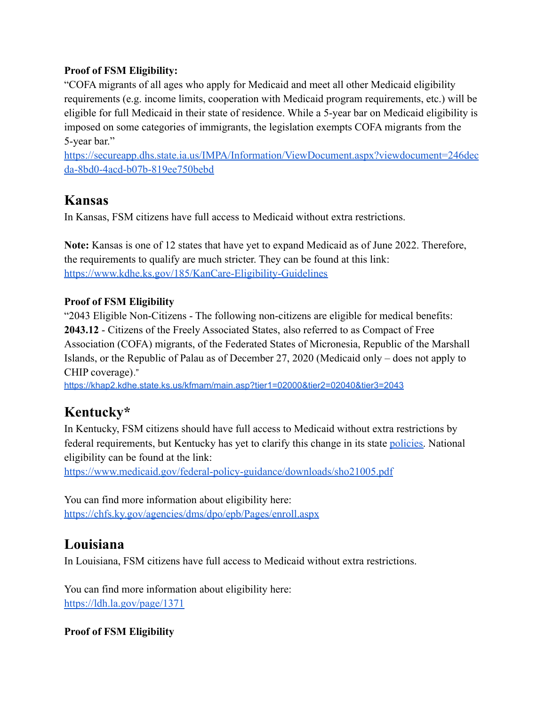#### **Proof of FSM Eligibility:**

"COFA migrants of all ages who apply for Medicaid and meet all other Medicaid eligibility requirements (e.g. income limits, cooperation with Medicaid program requirements, etc.) will be eligible for full Medicaid in their state of residence. While a 5-year bar on Medicaid eligibility is imposed on some categories of immigrants, the legislation exempts COFA migrants from the 5-year bar."

[https://secureapp.dhs.state.ia.us/IMPA/Information/ViewDocument.aspx?viewdocument=246dec](https://secureapp.dhs.state.ia.us/IMPA/Information/ViewDocument.aspx?viewdocument=246decda-8bd0-4acd-b07b-819ee750bebd) [da-8bd0-4acd-b07b-819ee750bebd](https://secureapp.dhs.state.ia.us/IMPA/Information/ViewDocument.aspx?viewdocument=246decda-8bd0-4acd-b07b-819ee750bebd)

## **Kansas**

In Kansas, FSM citizens have full access to Medicaid without extra restrictions.

**Note:** Kansas is one of 12 states that have yet to expand Medicaid as of June 2022. Therefore, the requirements to qualify are much stricter. They can be found at this link: <https://www.kdhe.ks.gov/185/KanCare-Eligibility-Guidelines>

#### **Proof of FSM Eligibility**

"2043 Eligible Non-Citizens - The following non-citizens are eligible for medical benefits: **2043.12** - Citizens of the Freely Associated States, also referred to as Compact of Free Association (COFA) migrants, of the Federated States of Micronesia, Republic of the Marshall Islands, or the Republic of Palau as of December 27, 2020 (Medicaid only – does not apply to CHIP coverage)."

<https://khap2.kdhe.state.ks.us/kfmam/main.asp?tier1=02000&tier2=02040&tier3=2043>

# **Kentucky\***

In Kentucky, FSM citizens should have full access to Medicaid without extra restrictions by federal requirements, but Kentucky has yet to clarify this change in its state [policies.](https://chfs.ky.gov/agencies/dcbs/dfs/Documents/OMVOLIVA.pdf) National eligibility can be found at the link:

<https://www.medicaid.gov/federal-policy-guidance/downloads/sho21005.pdf>

You can find more information about eligibility here: <https://chfs.ky.gov/agencies/dms/dpo/epb/Pages/enroll.aspx>

## **Louisiana**

In Louisiana, FSM citizens have full access to Medicaid without extra restrictions.

You can find more information about eligibility here: <https://ldh.la.gov/page/1371>

**Proof of FSM Eligibility**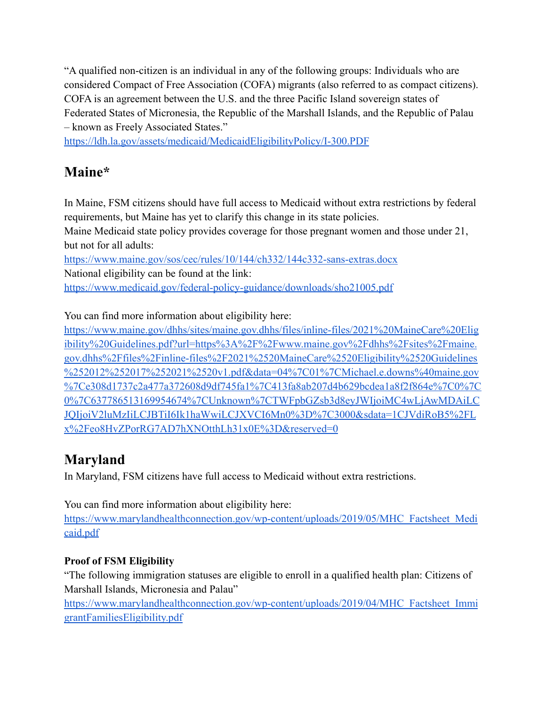"A qualified non-citizen is an individual in any of the following groups: Individuals who are considered Compact of Free Association (COFA) migrants (also referred to as compact citizens). COFA is an agreement between the U.S. and the three Pacific Island sovereign states of Federated States of Micronesia, the Republic of the Marshall Islands, and the Republic of Palau – known as Freely Associated States."

<https://ldh.la.gov/assets/medicaid/MedicaidEligibilityPolicy/I-300.PDF>

# **Maine\***

In Maine, FSM citizens should have full access to Medicaid without extra restrictions by federal requirements, but Maine has yet to clarify this change in its state policies.

Maine Medicaid state policy provides coverage for those pregnant women and those under 21, but not for all adults:

<https://www.maine.gov/sos/cec/rules/10/144/ch332/144c332-sans-extras.docx> National eligibility can be found at the link: <https://www.medicaid.gov/federal-policy-guidance/downloads/sho21005.pdf>

You can find more information about eligibility here:

[https://www.maine.gov/dhhs/sites/maine.gov.dhhs/files/inline-files/2021%20MaineCare%20Elig](https://www.maine.gov/dhhs/sites/maine.gov.dhhs/files/inline-files/2021%20MaineCare%20Eligibility%20Guidelines.pdf?url=https%3A%2F%2Fwww.maine.gov%2Fdhhs%2Fsites%2Fmaine.gov.dhhs%2Ffiles%2Finline-files%2F2021%2520MaineCare%2520Eligibility%2520Guidelines%252012%252017%252021%2520v1.pdf&data=04%7C01%7CMichael.e.downs%40maine.gov%7Ce308d1737c2a477a372608d9df745fa1%7C413fa8ab207d4b629bcdea1a8f2f864e%7C0%7C0%7C637786513169954674%7CUnknown%7CTWFpbGZsb3d8eyJWIjoiMC4wLjAwMDAiLCJQIjoiV2luMzIiLCJBTiI6Ik1haWwiLCJXVCI6Mn0%3D%7C3000&sdata=1CJVdiRoB5%2FLx%2Feo8HvZPorRG7AD7hXNOtthLh31x0E%3D&reserved=0) [ibility%20Guidelines.pdf?url=https%3A%2F%2Fwww.maine.gov%2Fdhhs%2Fsites%2Fmaine.](https://www.maine.gov/dhhs/sites/maine.gov.dhhs/files/inline-files/2021%20MaineCare%20Eligibility%20Guidelines.pdf?url=https%3A%2F%2Fwww.maine.gov%2Fdhhs%2Fsites%2Fmaine.gov.dhhs%2Ffiles%2Finline-files%2F2021%2520MaineCare%2520Eligibility%2520Guidelines%252012%252017%252021%2520v1.pdf&data=04%7C01%7CMichael.e.downs%40maine.gov%7Ce308d1737c2a477a372608d9df745fa1%7C413fa8ab207d4b629bcdea1a8f2f864e%7C0%7C0%7C637786513169954674%7CUnknown%7CTWFpbGZsb3d8eyJWIjoiMC4wLjAwMDAiLCJQIjoiV2luMzIiLCJBTiI6Ik1haWwiLCJXVCI6Mn0%3D%7C3000&sdata=1CJVdiRoB5%2FLx%2Feo8HvZPorRG7AD7hXNOtthLh31x0E%3D&reserved=0) [gov.dhhs%2Ffiles%2Finline-files%2F2021%2520MaineCare%2520Eligibility%2520Guidelines](https://www.maine.gov/dhhs/sites/maine.gov.dhhs/files/inline-files/2021%20MaineCare%20Eligibility%20Guidelines.pdf?url=https%3A%2F%2Fwww.maine.gov%2Fdhhs%2Fsites%2Fmaine.gov.dhhs%2Ffiles%2Finline-files%2F2021%2520MaineCare%2520Eligibility%2520Guidelines%252012%252017%252021%2520v1.pdf&data=04%7C01%7CMichael.e.downs%40maine.gov%7Ce308d1737c2a477a372608d9df745fa1%7C413fa8ab207d4b629bcdea1a8f2f864e%7C0%7C0%7C637786513169954674%7CUnknown%7CTWFpbGZsb3d8eyJWIjoiMC4wLjAwMDAiLCJQIjoiV2luMzIiLCJBTiI6Ik1haWwiLCJXVCI6Mn0%3D%7C3000&sdata=1CJVdiRoB5%2FLx%2Feo8HvZPorRG7AD7hXNOtthLh31x0E%3D&reserved=0) [%252012%252017%252021%2520v1.pdf&data=04%7C01%7CMichael.e.downs%40maine.gov](https://www.maine.gov/dhhs/sites/maine.gov.dhhs/files/inline-files/2021%20MaineCare%20Eligibility%20Guidelines.pdf?url=https%3A%2F%2Fwww.maine.gov%2Fdhhs%2Fsites%2Fmaine.gov.dhhs%2Ffiles%2Finline-files%2F2021%2520MaineCare%2520Eligibility%2520Guidelines%252012%252017%252021%2520v1.pdf&data=04%7C01%7CMichael.e.downs%40maine.gov%7Ce308d1737c2a477a372608d9df745fa1%7C413fa8ab207d4b629bcdea1a8f2f864e%7C0%7C0%7C637786513169954674%7CUnknown%7CTWFpbGZsb3d8eyJWIjoiMC4wLjAwMDAiLCJQIjoiV2luMzIiLCJBTiI6Ik1haWwiLCJXVCI6Mn0%3D%7C3000&sdata=1CJVdiRoB5%2FLx%2Feo8HvZPorRG7AD7hXNOtthLh31x0E%3D&reserved=0) [%7Ce308d1737c2a477a372608d9df745fa1%7C413fa8ab207d4b629bcdea1a8f2f864e%7C0%7C](https://www.maine.gov/dhhs/sites/maine.gov.dhhs/files/inline-files/2021%20MaineCare%20Eligibility%20Guidelines.pdf?url=https%3A%2F%2Fwww.maine.gov%2Fdhhs%2Fsites%2Fmaine.gov.dhhs%2Ffiles%2Finline-files%2F2021%2520MaineCare%2520Eligibility%2520Guidelines%252012%252017%252021%2520v1.pdf&data=04%7C01%7CMichael.e.downs%40maine.gov%7Ce308d1737c2a477a372608d9df745fa1%7C413fa8ab207d4b629bcdea1a8f2f864e%7C0%7C0%7C637786513169954674%7CUnknown%7CTWFpbGZsb3d8eyJWIjoiMC4wLjAwMDAiLCJQIjoiV2luMzIiLCJBTiI6Ik1haWwiLCJXVCI6Mn0%3D%7C3000&sdata=1CJVdiRoB5%2FLx%2Feo8HvZPorRG7AD7hXNOtthLh31x0E%3D&reserved=0) [0%7C637786513169954674%7CUnknown%7CTWFpbGZsb3d8eyJWIjoiMC4wLjAwMDAiLC](https://www.maine.gov/dhhs/sites/maine.gov.dhhs/files/inline-files/2021%20MaineCare%20Eligibility%20Guidelines.pdf?url=https%3A%2F%2Fwww.maine.gov%2Fdhhs%2Fsites%2Fmaine.gov.dhhs%2Ffiles%2Finline-files%2F2021%2520MaineCare%2520Eligibility%2520Guidelines%252012%252017%252021%2520v1.pdf&data=04%7C01%7CMichael.e.downs%40maine.gov%7Ce308d1737c2a477a372608d9df745fa1%7C413fa8ab207d4b629bcdea1a8f2f864e%7C0%7C0%7C637786513169954674%7CUnknown%7CTWFpbGZsb3d8eyJWIjoiMC4wLjAwMDAiLCJQIjoiV2luMzIiLCJBTiI6Ik1haWwiLCJXVCI6Mn0%3D%7C3000&sdata=1CJVdiRoB5%2FLx%2Feo8HvZPorRG7AD7hXNOtthLh31x0E%3D&reserved=0) [JQIjoiV2luMzIiLCJBTiI6Ik1haWwiLCJXVCI6Mn0%3D%7C3000&sdata=1CJVdiRoB5%2FL](https://www.maine.gov/dhhs/sites/maine.gov.dhhs/files/inline-files/2021%20MaineCare%20Eligibility%20Guidelines.pdf?url=https%3A%2F%2Fwww.maine.gov%2Fdhhs%2Fsites%2Fmaine.gov.dhhs%2Ffiles%2Finline-files%2F2021%2520MaineCare%2520Eligibility%2520Guidelines%252012%252017%252021%2520v1.pdf&data=04%7C01%7CMichael.e.downs%40maine.gov%7Ce308d1737c2a477a372608d9df745fa1%7C413fa8ab207d4b629bcdea1a8f2f864e%7C0%7C0%7C637786513169954674%7CUnknown%7CTWFpbGZsb3d8eyJWIjoiMC4wLjAwMDAiLCJQIjoiV2luMzIiLCJBTiI6Ik1haWwiLCJXVCI6Mn0%3D%7C3000&sdata=1CJVdiRoB5%2FLx%2Feo8HvZPorRG7AD7hXNOtthLh31x0E%3D&reserved=0) [x%2Feo8HvZPorRG7AD7hXNOtthLh31x0E%3D&reserved=0](https://www.maine.gov/dhhs/sites/maine.gov.dhhs/files/inline-files/2021%20MaineCare%20Eligibility%20Guidelines.pdf?url=https%3A%2F%2Fwww.maine.gov%2Fdhhs%2Fsites%2Fmaine.gov.dhhs%2Ffiles%2Finline-files%2F2021%2520MaineCare%2520Eligibility%2520Guidelines%252012%252017%252021%2520v1.pdf&data=04%7C01%7CMichael.e.downs%40maine.gov%7Ce308d1737c2a477a372608d9df745fa1%7C413fa8ab207d4b629bcdea1a8f2f864e%7C0%7C0%7C637786513169954674%7CUnknown%7CTWFpbGZsb3d8eyJWIjoiMC4wLjAwMDAiLCJQIjoiV2luMzIiLCJBTiI6Ik1haWwiLCJXVCI6Mn0%3D%7C3000&sdata=1CJVdiRoB5%2FLx%2Feo8HvZPorRG7AD7hXNOtthLh31x0E%3D&reserved=0)

# **Maryland**

In Maryland, FSM citizens have full access to Medicaid without extra restrictions.

You can find more information about eligibility here:

[https://www.marylandhealthconnection.gov/wp-content/uploads/2019/05/MHC\\_Factsheet\\_Medi](https://www.marylandhealthconnection.gov/wp-content/uploads/2019/05/MHC_Factsheet_Medicaid.pdf) [caid.pdf](https://www.marylandhealthconnection.gov/wp-content/uploads/2019/05/MHC_Factsheet_Medicaid.pdf)

### **Proof of FSM Eligibility**

"The following immigration statuses are eligible to enroll in a qualified health plan: Citizens of Marshall Islands, Micronesia and Palau"

[https://www.marylandhealthconnection.gov/wp-content/uploads/2019/04/MHC\\_Factsheet\\_Immi](https://www.marylandhealthconnection.gov/wp-content/uploads/2019/04/MHC_Factsheet_ImmigrantFamiliesEligibility.pdf) [grantFamiliesEligibility.pdf](https://www.marylandhealthconnection.gov/wp-content/uploads/2019/04/MHC_Factsheet_ImmigrantFamiliesEligibility.pdf)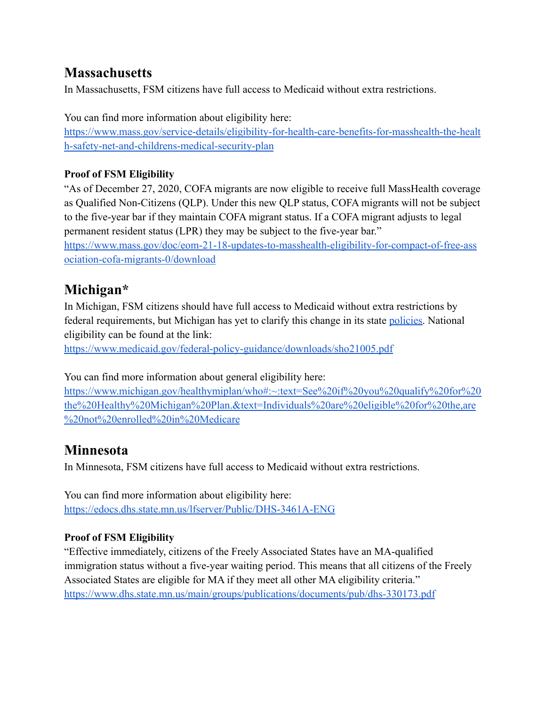## **Massachusetts**

In Massachusetts, FSM citizens have full access to Medicaid without extra restrictions.

You can find more information about eligibility here: [https://www.mass.gov/service-details/eligibility-for-health-care-benefits-for-masshealth-the-healt](https://www.mass.gov/service-details/eligibility-for-health-care-benefits-for-masshealth-the-health-safety-net-and-childrens-medical-security-plan) [h-safety-net-and-childrens-medical-security-plan](https://www.mass.gov/service-details/eligibility-for-health-care-benefits-for-masshealth-the-health-safety-net-and-childrens-medical-security-plan)

#### **Proof of FSM Eligibility**

"As of December 27, 2020, COFA migrants are now eligible to receive full MassHealth coverage as Qualified Non-Citizens (QLP). Under this new QLP status, COFA migrants will not be subject to the five-year bar if they maintain COFA migrant status. If a COFA migrant adjusts to legal permanent resident status (LPR) they may be subject to the five-year bar."

[https://www.mass.gov/doc/eom-21-18-updates-to-masshealth-eligibility-for-compact-of-free-ass](https://www.mass.gov/doc/eom-21-18-updates-to-masshealth-eligibility-for-compact-of-free-association-cofa-migrants-0/download) [ociation-cofa-migrants-0/download](https://www.mass.gov/doc/eom-21-18-updates-to-masshealth-eligibility-for-compact-of-free-association-cofa-migrants-0/download)

### **Michigan\***

In Michigan, FSM citizens should have full access to Medicaid without extra restrictions by federal requirements, but Michigan has yet to clarify this change in its state [policies.](https://dhhs.michigan.gov/OLMWEB/EX/BP/Public/BEM/225.pdf#pagemode=bookmarks) National eligibility can be found at the link:

<https://www.medicaid.gov/federal-policy-guidance/downloads/sho21005.pdf>

You can find more information about general eligibility here:

[https://www.michigan.gov/healthymiplan/who#:~:text=See%20if%20you%20qualify%20for%20](https://www.michigan.gov/healthymiplan/who#:~:text=See%20if%20you%20qualify%20for%20the%20Healthy%20Michigan%20Plan.&text=Individuals%20are%20eligible%20for%20the,are%20not%20enrolled%20in%20Medicare) [the%20Healthy%20Michigan%20Plan.&text=Individuals%20are%20eligible%20for%20the,are](https://www.michigan.gov/healthymiplan/who#:~:text=See%20if%20you%20qualify%20for%20the%20Healthy%20Michigan%20Plan.&text=Individuals%20are%20eligible%20for%20the,are%20not%20enrolled%20in%20Medicare) [%20not%20enrolled%20in%20Medicare](https://www.michigan.gov/healthymiplan/who#:~:text=See%20if%20you%20qualify%20for%20the%20Healthy%20Michigan%20Plan.&text=Individuals%20are%20eligible%20for%20the,are%20not%20enrolled%20in%20Medicare)

## **Minnesota**

In Minnesota, FSM citizens have full access to Medicaid without extra restrictions.

You can find more information about eligibility here: <https://edocs.dhs.state.mn.us/lfserver/Public/DHS-3461A-ENG>

#### **Proof of FSM Eligibility**

"Effective immediately, citizens of the Freely Associated States have an MA-qualified immigration status without a five-year waiting period. This means that all citizens of the Freely Associated States are eligible for MA if they meet all other MA eligibility criteria." <https://www.dhs.state.mn.us/main/groups/publications/documents/pub/dhs-330173.pdf>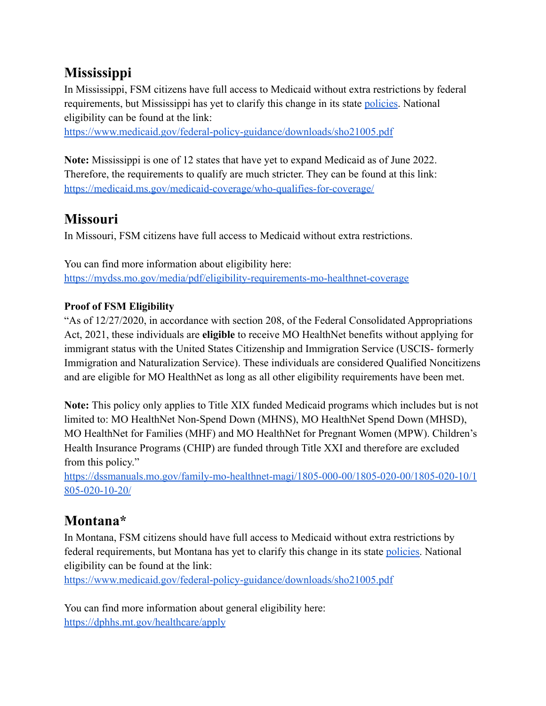# **Mississippi**

In Mississippi, FSM citizens have full access to Medicaid without extra restrictions by federal requirements, but Mississippi has yet to clarify this change in its state [policies](https://medicaid.ms.gov/wp-content/uploads/2020/07/Chapter-102-Non-Financial-Entire-Chapter-with-TOC.pdf). National eligibility can be found at the link:

<https://www.medicaid.gov/federal-policy-guidance/downloads/sho21005.pdf>

**Note:** Mississippi is one of 12 states that have yet to expand Medicaid as of June 2022. Therefore, the requirements to qualify are much stricter. They can be found at this link: <https://medicaid.ms.gov/medicaid-coverage/who-qualifies-for-coverage/>

## **Missouri**

In Missouri, FSM citizens have full access to Medicaid without extra restrictions.

You can find more information about eligibility here: <https://mydss.mo.gov/media/pdf/eligibility-requirements-mo-healthnet-coverage>

#### **Proof of FSM Eligibility**

"As of 12/27/2020, in accordance with section 208, of the Federal Consolidated Appropriations Act, 2021, these individuals are **eligible** to receive MO HealthNet benefits without applying for immigrant status with the United States Citizenship and Immigration Service (USCIS- formerly Immigration and Naturalization Service). These individuals are considered Qualified Noncitizens and are eligible for MO HealthNet as long as all other eligibility requirements have been met.

**Note:** This policy only applies to Title XIX funded Medicaid programs which includes but is not limited to: MO HealthNet Non-Spend Down (MHNS), MO HealthNet Spend Down (MHSD), MO HealthNet for Families (MHF) and MO HealthNet for Pregnant Women (MPW). Children's Health Insurance Programs (CHIP) are funded through Title XXI and therefore are excluded from this policy."

[https://dssmanuals.mo.gov/family-mo-healthnet-magi/1805-000-00/1805-020-00/1805-020-10/1](https://dssmanuals.mo.gov/family-mo-healthnet-magi/1805-000-00/1805-020-00/1805-020-10/1805-020-10-20/) [805-020-10-20/](https://dssmanuals.mo.gov/family-mo-healthnet-magi/1805-000-00/1805-020-00/1805-020-10/1805-020-10-20/)

# **Montana\***

In Montana, FSM citizens should have full access to Medicaid without extra restrictions by federal requirements, but Montana has yet to clarify this change in its state [policies.](https://dphhs.mt.gov/assets/hcsd/fmamanual/CMA301-2July012016.pdf) National eligibility can be found at the link:

<https://www.medicaid.gov/federal-policy-guidance/downloads/sho21005.pdf>

You can find more information about general eligibility here: <https://dphhs.mt.gov/healthcare/apply>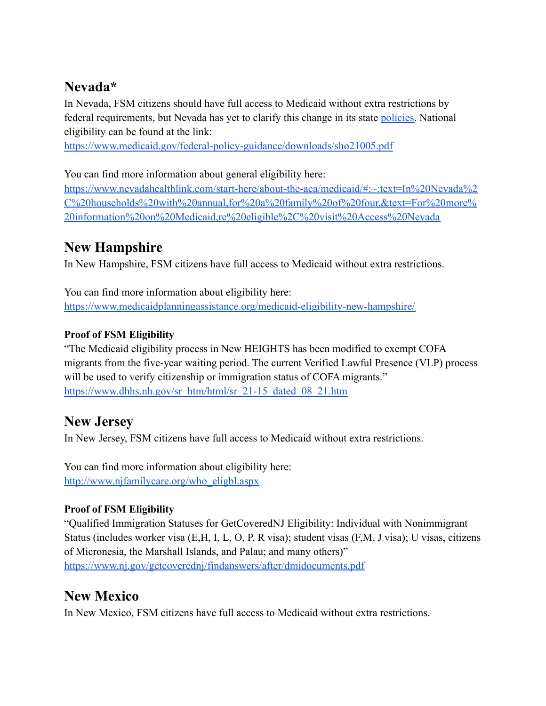## **Nevada\***

In Nevada, FSM citizens should have full access to Medicaid without extra restrictions by federal requirements, but Nevada has yet to clarify this change in its state [policies.](https://dwss.nv.gov/uploadedFiles/dwssnvgov/content/Medical/C-100%20General%20Eligibility%20Requirements%20Nov%2016.pdf) National eligibility can be found at the link:

<https://www.medicaid.gov/federal-policy-guidance/downloads/sho21005.pdf>

You can find more information about general eligibility here:

[https://www.nevadahealthlink.com/start-here/about-the-aca/medicaid/#:~:text=In%20Nevada%2](https://www.nevadahealthlink.com/start-here/about-the-aca/medicaid/#:~:text=In%20Nevada%2C%20households%20with%20annual,for%20a%20family%20of%20four.&text=For%20more%20information%20on%20Medicaid,re%20eligible%2C%20visit%20Access%20Nevada) [C%20households%20with%20annual,for%20a%20family%20of%20four.&text=For%20more%](https://www.nevadahealthlink.com/start-here/about-the-aca/medicaid/#:~:text=In%20Nevada%2C%20households%20with%20annual,for%20a%20family%20of%20four.&text=For%20more%20information%20on%20Medicaid,re%20eligible%2C%20visit%20Access%20Nevada) [20information%20on%20Medicaid,re%20eligible%2C%20visit%20Access%20Nevada](https://www.nevadahealthlink.com/start-here/about-the-aca/medicaid/#:~:text=In%20Nevada%2C%20households%20with%20annual,for%20a%20family%20of%20four.&text=For%20more%20information%20on%20Medicaid,re%20eligible%2C%20visit%20Access%20Nevada)

## **New Hampshire**

In New Hampshire, FSM citizens have full access to Medicaid without extra restrictions.

You can find more information about eligibility here: <https://www.medicaidplanningassistance.org/medicaid-eligibility-new-hampshire/>

#### **Proof of FSM Eligibility**

"The Medicaid eligibility process in New HEIGHTS has been modified to exempt COFA migrants from the five-year waiting period. The current Verified Lawful Presence (VLP) process will be used to verify citizenship or immigration status of COFA migrants." [https://www.dhhs.nh.gov/sr\\_htm/html/sr\\_21-15\\_dated\\_08\\_21.htm](https://www.dhhs.nh.gov/sr_htm/html/sr_21-15_dated_08_21.htm)

### **New Jersey**

In New Jersey, FSM citizens have full access to Medicaid without extra restrictions.

You can find more information about eligibility here: [http://www.njfamilycare.org/who\\_eligbl.aspx](http://www.njfamilycare.org/who_eligbl.aspx)

#### **Proof of FSM Eligibility**

"Qualified Immigration Statuses for GetCoveredNJ Eligibility: Individual with Nonimmigrant Status (includes worker visa (E,H, I, L, O, P, R visa); student visas (F,M, J visa); U visas, citizens of Micronesia, the Marshall Islands, and Palau; and many others)" <https://www.nj.gov/getcoverednj/findanswers/after/dmidocuments.pdf>

## **New Mexico**

In New Mexico, FSM citizens have full access to Medicaid without extra restrictions.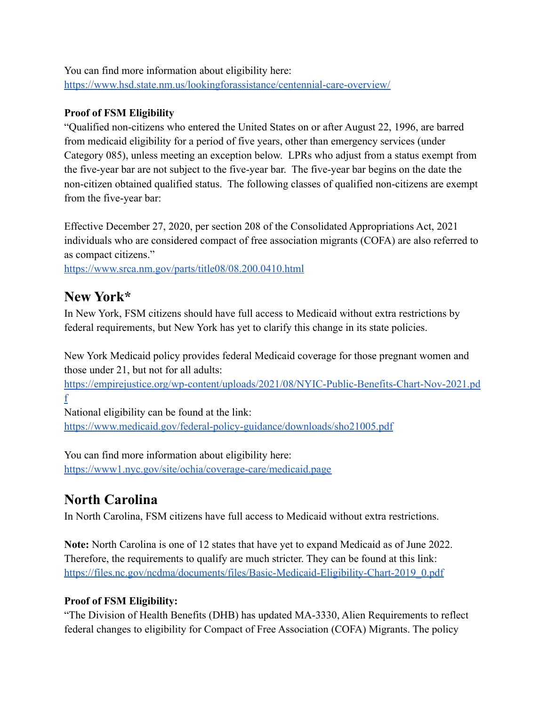You can find more information about eligibility here: <https://www.hsd.state.nm.us/lookingforassistance/centennial-care-overview/>

#### **Proof of FSM Eligibility**

"Qualified non-citizens who entered the United States on or after August 22, 1996, are barred from medicaid eligibility for a period of five years, other than emergency services (under Category 085), unless meeting an exception below. LPRs who adjust from a status exempt from the five-year bar are not subject to the five-year bar. The five-year bar begins on the date the non-citizen obtained qualified status. The following classes of qualified non-citizens are exempt from the five-year bar:

Effective December 27, 2020, per section 208 of the Consolidated Appropriations Act, 2021 individuals who are considered compact of free association migrants (COFA) are also referred to as compact citizens."

<https://www.srca.nm.gov/parts/title08/08.200.0410.html>

### **New York\***

In New York, FSM citizens should have full access to Medicaid without extra restrictions by federal requirements, but New York has yet to clarify this change in its state policies.

New York Medicaid policy provides federal Medicaid coverage for those pregnant women and those under 21, but not for all adults:

[https://empirejustice.org/wp-content/uploads/2021/08/NYIC-Public-Benefits-Chart-Nov-2021.pd](https://empirejustice.org/wp-content/uploads/2021/08/NYIC-Public-Benefits-Chart-Nov-2021.pdf) [f](https://empirejustice.org/wp-content/uploads/2021/08/NYIC-Public-Benefits-Chart-Nov-2021.pdf)

National eligibility can be found at the link:

[https://www.medicaid.gov/federal-policy-guidance/downloads/sho21005.pdf](https://www.healthcare.gov/immigrants/lawfully-present-immigrants/)

You can find more information about eligibility here: <https://www1.nyc.gov/site/ochia/coverage-care/medicaid.page>

# **North Carolina**

In North Carolina, FSM citizens have full access to Medicaid without extra restrictions.

**Note:** North Carolina is one of 12 states that have yet to expand Medicaid as of June 2022. Therefore, the requirements to qualify are much stricter. They can be found at this link: [https://files.nc.gov/ncdma/documents/files/Basic-Medicaid-Eligibility-Chart-2019\\_0.pdf](https://files.nc.gov/ncdma/documents/files/Basic-Medicaid-Eligibility-Chart-2019_0.pdf)

#### **Proof of FSM Eligibility:**

"The Division of Health Benefits (DHB) has updated MA-3330, Alien Requirements to reflect federal changes to eligibility for Compact of Free Association (COFA) Migrants. The policy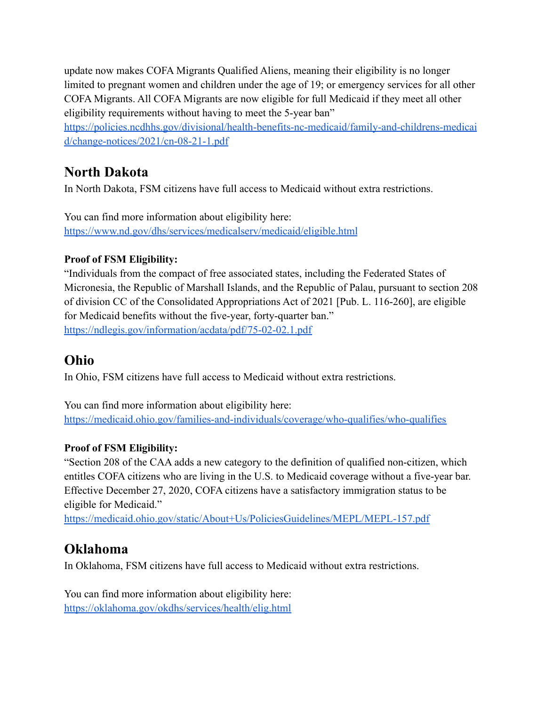update now makes COFA Migrants Qualified Aliens, meaning their eligibility is no longer limited to pregnant women and children under the age of 19; or emergency services for all other COFA Migrants. All COFA Migrants are now eligible for full Medicaid if they meet all other eligibility requirements without having to meet the 5-year ban"

[https://policies.ncdhhs.gov/divisional/health-benefits-nc-medicaid/family-and-childrens-medicai](https://policies.ncdhhs.gov/divisional/health-benefits-nc-medicaid/family-and-childrens-medicaid/change-notices/2021/cn-08-21-1.pdf) [d/change-notices/2021/cn-08-21-1.pdf](https://policies.ncdhhs.gov/divisional/health-benefits-nc-medicaid/family-and-childrens-medicaid/change-notices/2021/cn-08-21-1.pdf)

## **North Dakota**

In North Dakota, FSM citizens have full access to Medicaid without extra restrictions.

You can find more information about eligibility here: <https://www.nd.gov/dhs/services/medicalserv/medicaid/eligible.html>

#### **Proof of FSM Eligibility:**

"Individuals from the compact of free associated states, including the Federated States of Micronesia, the Republic of Marshall Islands, and the Republic of Palau, pursuant to section 208 of division CC of the Consolidated Appropriations Act of 2021 [Pub. L. 116-260], are eligible for Medicaid benefits without the five-year, forty-quarter ban." <https://ndlegis.gov/information/acdata/pdf/75-02-02.1.pdf>

### **Ohio**

In Ohio, FSM citizens have full access to Medicaid without extra restrictions.

You can find more information about eligibility here: <https://medicaid.ohio.gov/families-and-individuals/coverage/who-qualifies/who-qualifies>

#### **Proof of FSM Eligibility:**

"Section 208 of the CAA adds a new category to the definition of qualified non-citizen, which entitles COFA citizens who are living in the U.S. to Medicaid coverage without a five-year bar. Effective December 27, 2020, COFA citizens have a satisfactory immigration status to be eligible for Medicaid."

<https://medicaid.ohio.gov/static/About+Us/PoliciesGuidelines/MEPL/MEPL-157.pdf>

## **Oklahoma**

In Oklahoma, FSM citizens have full access to Medicaid without extra restrictions.

You can find more information about eligibility here: <https://oklahoma.gov/okdhs/services/health/elig.html>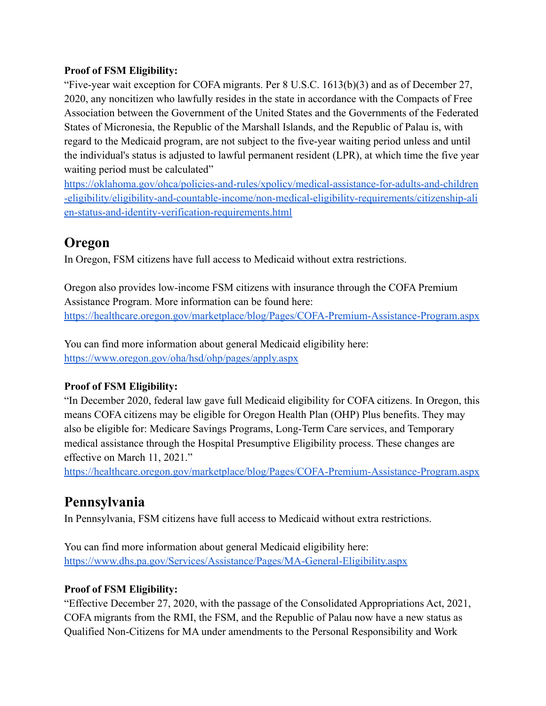#### **Proof of FSM Eligibility:**

"Five-year wait exception for COFA migrants. Per 8 U.S.C. 1613(b)(3) and as of December 27, 2020, any noncitizen who lawfully resides in the state in accordance with the Compacts of Free Association between the Government of the United States and the Governments of the Federated States of Micronesia, the Republic of the Marshall Islands, and the Republic of Palau is, with regard to the Medicaid program, are not subject to the five-year waiting period unless and until the individual's status is adjusted to lawful permanent resident (LPR), at which time the five year waiting period must be calculated"

[https://oklahoma.gov/ohca/policies-and-rules/xpolicy/medical-assistance-for-adults-and-children](https://oklahoma.gov/ohca/policies-and-rules/xpolicy/medical-assistance-for-adults-and-children-eligibility/eligibility-and-countable-income/non-medical-eligibility-requirements/citizenship-alien-status-and-identity-verification-requirements.html) [-eligibility/eligibility-and-countable-income/non-medical-eligibility-requirements/citizenship-ali](https://oklahoma.gov/ohca/policies-and-rules/xpolicy/medical-assistance-for-adults-and-children-eligibility/eligibility-and-countable-income/non-medical-eligibility-requirements/citizenship-alien-status-and-identity-verification-requirements.html) [en-status-and-identity-verification-requirements.html](https://oklahoma.gov/ohca/policies-and-rules/xpolicy/medical-assistance-for-adults-and-children-eligibility/eligibility-and-countable-income/non-medical-eligibility-requirements/citizenship-alien-status-and-identity-verification-requirements.html)

### **Oregon**

In Oregon, FSM citizens have full access to Medicaid without extra restrictions.

Oregon also provides low-income FSM citizens with insurance through the COFA Premium Assistance Program. More information can be found here: <https://healthcare.oregon.gov/marketplace/blog/Pages/COFA-Premium-Assistance-Program.aspx>

You can find more information about general Medicaid eligibility here: <https://www.oregon.gov/oha/hsd/ohp/pages/apply.aspx>

#### **Proof of FSM Eligibility:**

"In December 2020, federal law gave full Medicaid eligibility for COFA citizens. In Oregon, this means COFA citizens may be eligible for Oregon Health Plan (OHP) Plus benefits. They may also be eligible for: Medicare Savings Programs, Long-Term Care services, and Temporary medical assistance through the Hospital Presumptive Eligibility process. These changes are effective on March 11, 2021."

<https://healthcare.oregon.gov/marketplace/blog/Pages/COFA-Premium-Assistance-Program.aspx>

### **Pennsylvania**

In Pennsylvania, FSM citizens have full access to Medicaid without extra restrictions.

You can find more information about general Medicaid eligibility here: <https://www.dhs.pa.gov/Services/Assistance/Pages/MA-General-Eligibility.aspx>

#### **Proof of FSM Eligibility:**

"Effective December 27, 2020, with the passage of the Consolidated Appropriations Act, 2021, COFA migrants from the RMI, the FSM, and the Republic of Palau now have a new status as Qualified Non-Citizens for MA under amendments to the Personal Responsibility and Work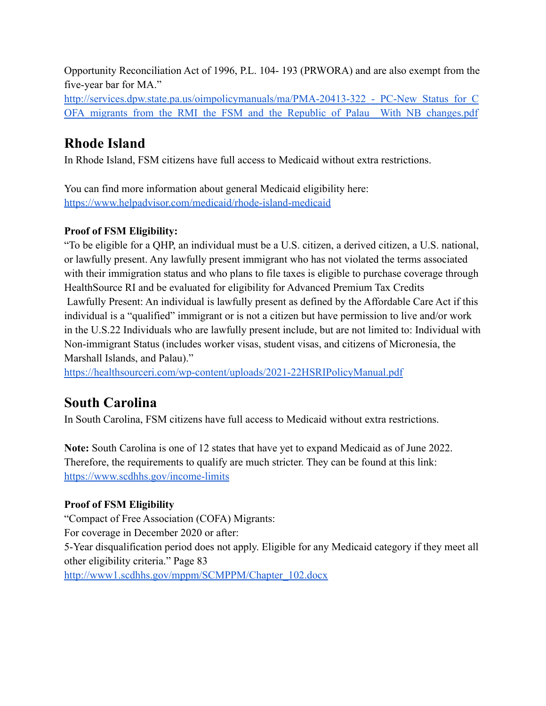Opportunity Reconciliation Act of 1996, P.L. 104- 193 (PRWORA) and are also exempt from the five-year bar for MA."

http://services.dpw.state.pa.us/oimpolicymanuals/ma/PMA-20413-322 - PC-New Status for C OFA migrants from the RMI the FSM and the Republic of Palau With NB changes.pdf

# **Rhode Island**

In Rhode Island, FSM citizens have full access to Medicaid without extra restrictions.

You can find more information about general Medicaid eligibility here: <https://www.helpadvisor.com/medicaid/rhode-island-medicaid>

#### **Proof of FSM Eligibility:**

"To be eligible for a QHP, an individual must be a U.S. citizen, a derived citizen, a U.S. national, or lawfully present. Any lawfully present immigrant who has not violated the terms associated with their immigration status and who plans to file taxes is eligible to purchase coverage through HealthSource RI and be evaluated for eligibility for Advanced Premium Tax Credits Lawfully Present: An individual is lawfully present as defined by the Affordable Care Act if this individual is a "qualified" immigrant or is not a citizen but have permission to live and/or work in the U.S.22 Individuals who are lawfully present include, but are not limited to: Individual with Non-immigrant Status (includes worker visas, student visas, and citizens of Micronesia, the Marshall Islands, and Palau)."

<https://healthsourceri.com/wp-content/uploads/2021-22HSRIPolicyManual.pdf>

# **South Carolina**

In South Carolina, FSM citizens have full access to Medicaid without extra restrictions.

**Note:** South Carolina is one of 12 states that have yet to expand Medicaid as of June 2022. Therefore, the requirements to qualify are much stricter. They can be found at this link: <https://www.scdhhs.gov/income-limits>

#### **Proof of FSM Eligibility**

"Compact of Free Association (COFA) Migrants: For coverage in December 2020 or after: 5-Year disqualification period does not apply. Eligible for any Medicaid category if they meet all other eligibility criteria." Page 83 [http://www1.scdhhs.gov/mppm/SCMPPM/Chapter\\_102.docx](http://www1.scdhhs.gov/mppm/SCMPPM/Chapter_102.docx)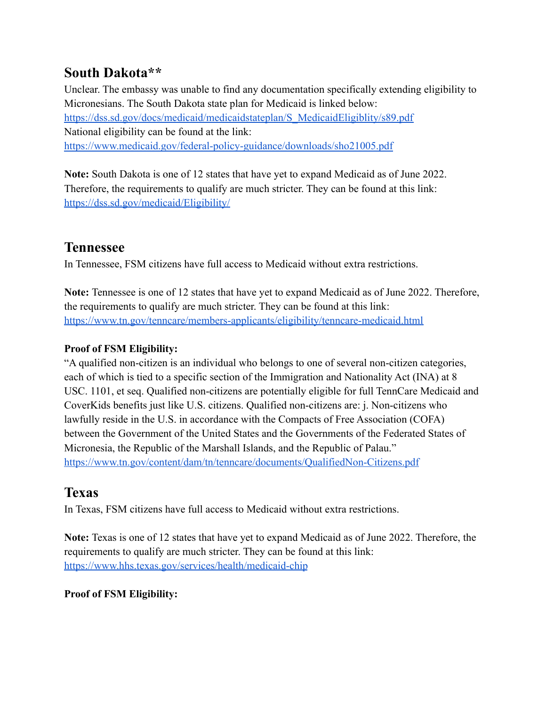### **South Dakota\*\***

Unclear. The embassy was unable to find any documentation specifically extending eligibility to Micronesians. The South Dakota state plan for Medicaid is linked below: [https://dss.sd.gov/docs/medicaid/medicaidstateplan/S\\_MedicaidEligiblity/s89.pdf](https://dss.sd.gov/docs/medicaid/medicaidstateplan/S_MedicaidEligiblity/s89.pdf) National eligibility can be found at the link: <https://www.medicaid.gov/federal-policy-guidance/downloads/sho21005.pdf>

**Note:** South Dakota is one of 12 states that have yet to expand Medicaid as of June 2022. Therefore, the requirements to qualify are much stricter. They can be found at this link: <https://dss.sd.gov/medicaid/Eligibility/>

### **Tennessee**

In Tennessee, FSM citizens have full access to Medicaid without extra restrictions.

**Note:** Tennessee is one of 12 states that have yet to expand Medicaid as of June 2022. Therefore, the requirements to qualify are much stricter. They can be found at this link: <https://www.tn.gov/tenncare/members-applicants/eligibility/tenncare-medicaid.html>

#### **Proof of FSM Eligibility:**

"A qualified non-citizen is an individual who belongs to one of several non-citizen categories, each of which is tied to a specific section of the Immigration and Nationality Act (INA) at 8 USC. 1101, et seq. Qualified non-citizens are potentially eligible for full TennCare Medicaid and CoverKids benefits just like U.S. citizens. Qualified non-citizens are: j. Non-citizens who lawfully reside in the U.S. in accordance with the Compacts of Free Association (COFA) between the Government of the United States and the Governments of the Federated States of Micronesia, the Republic of the Marshall Islands, and the Republic of Palau." <https://www.tn.gov/content/dam/tn/tenncare/documents/QualifiedNon-Citizens.pdf>

## **Texas**

In Texas, FSM citizens have full access to Medicaid without extra restrictions.

**Note:** Texas is one of 12 states that have yet to expand Medicaid as of June 2022. Therefore, the requirements to qualify are much stricter. They can be found at this link: <https://www.hhs.texas.gov/services/health/medicaid-chip>

#### **Proof of FSM Eligibility:**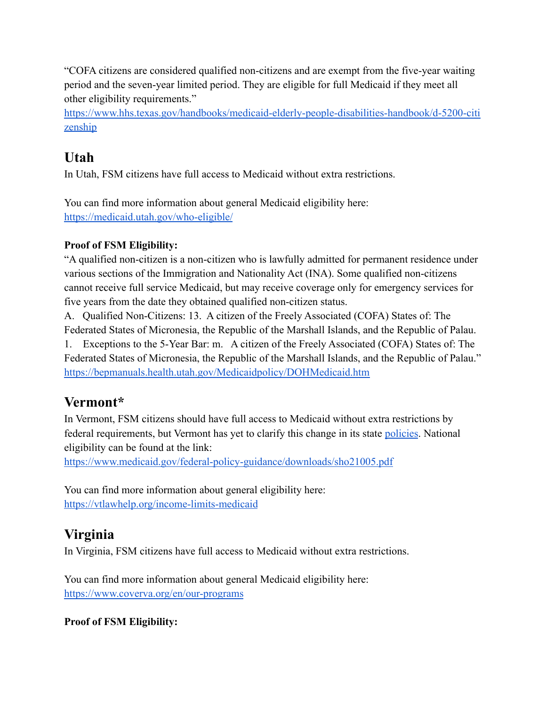"COFA citizens are considered qualified non-citizens and are exempt from the five-year waiting period and the seven-year limited period. They are eligible for full Medicaid if they meet all other eligibility requirements."

[https://www.hhs.texas.gov/handbooks/medicaid-elderly-people-disabilities-handbook/d-5200-citi](https://www.hhs.texas.gov/handbooks/medicaid-elderly-people-disabilities-handbook/d-5200-citizenship) [zenship](https://www.hhs.texas.gov/handbooks/medicaid-elderly-people-disabilities-handbook/d-5200-citizenship)

# **Utah**

In Utah, FSM citizens have full access to Medicaid without extra restrictions.

You can find more information about general Medicaid eligibility here: <https://medicaid.utah.gov/who-eligible/>

#### **Proof of FSM Eligibility:**

"A qualified non-citizen is a non-citizen who is lawfully admitted for permanent residence under various sections of the Immigration and Nationality Act (INA). Some qualified non-citizens cannot receive full service Medicaid, but may receive coverage only for emergency services for five years from the date they obtained qualified non-citizen status.

A. Qualified Non-Citizens: 13. A citizen of the Freely Associated (COFA) States of: The Federated States of Micronesia, the Republic of the Marshall Islands, and the Republic of Palau.

1. Exceptions to the 5-Year Bar: m. A citizen of the Freely Associated (COFA) States of: The Federated States of Micronesia, the Republic of the Marshall Islands, and the Republic of Palau." <https://bepmanuals.health.utah.gov/Medicaidpolicy/DOHMedicaid.htm>

## **Vermont\***

In Vermont, FSM citizens should have full access to Medicaid without extra restrictions by federal requirements, but Vermont has yet to clarify this change in its state [policies](https://humanservices.vermont.gov/sites/ahsnew/files/part-three-clean-scrubbed-18-062.pdf). National eligibility can be found at the link:

[https://www.medicaid.gov/federal-policy-guidance/downloads/sho21005.pdf](https://www.healthcare.gov/immigrants/lawfully-present-immigrants/)

You can find more information about general eligibility here: <https://vtlawhelp.org/income-limits-medicaid>

## **Virginia**

In Virginia, FSM citizens have full access to Medicaid without extra restrictions.

You can find more information about general Medicaid eligibility here: <https://www.coverva.org/en/our-programs>

#### **Proof of FSM Eligibility:**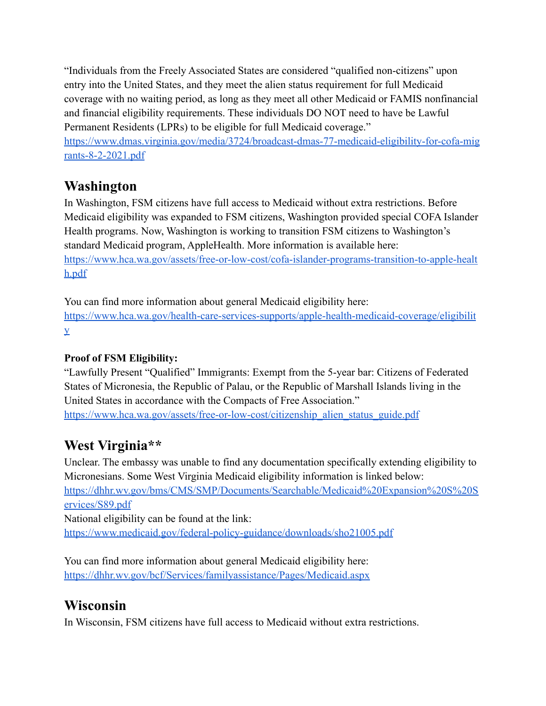"Individuals from the Freely Associated States are considered "qualified non-citizens" upon entry into the United States, and they meet the alien status requirement for full Medicaid coverage with no waiting period, as long as they meet all other Medicaid or FAMIS nonfinancial and financial eligibility requirements. These individuals DO NOT need to have be Lawful Permanent Residents (LPRs) to be eligible for full Medicaid coverage."

[https://www.dmas.virginia.gov/media/3724/broadcast-dmas-77-medicaid-eligibility-for-cofa-mig](https://www.dmas.virginia.gov/media/3724/broadcast-dmas-77-medicaid-eligibility-for-cofa-migrants-8-2-2021.pdf) [rants-8-2-2021.pdf](https://www.dmas.virginia.gov/media/3724/broadcast-dmas-77-medicaid-eligibility-for-cofa-migrants-8-2-2021.pdf)

### **Washington**

In Washington, FSM citizens have full access to Medicaid without extra restrictions. Before Medicaid eligibility was expanded to FSM citizens, Washington provided special COFA Islander Health programs. Now, Washington is working to transition FSM citizens to Washington's standard Medicaid program, AppleHealth. More information is available here: [https://www.hca.wa.gov/assets/free-or-low-cost/cofa-islander-programs-transition-to-apple-healt](https://www.hca.wa.gov/assets/free-or-low-cost/cofa-islander-programs-transition-to-apple-health.pdf) [h.pdf](https://www.hca.wa.gov/assets/free-or-low-cost/cofa-islander-programs-transition-to-apple-health.pdf)

You can find more information about general Medicaid eligibility here: [https://www.hca.wa.gov/health-care-services-supports/apple-health-medicaid-coverage/eligibilit](https://www.hca.wa.gov/health-care-services-supports/apple-health-medicaid-coverage/eligibility) [y](https://www.hca.wa.gov/health-care-services-supports/apple-health-medicaid-coverage/eligibility)

#### **Proof of FSM Eligibility:**

"Lawfully Present "Qualified" Immigrants: Exempt from the 5-year bar: Citizens of Federated States of Micronesia, the Republic of Palau, or the Republic of Marshall Islands living in the United States in accordance with the Compacts of Free Association." [https://www.hca.wa.gov/assets/free-or-low-cost/citizenship\\_alien\\_status\\_guide.pdf](https://www.hca.wa.gov/assets/free-or-low-cost/citizenship_alien_status_guide.pdf)

# **West Virginia\*\***

Unclear. The embassy was unable to find any documentation specifically extending eligibility to Micronesians. Some West Virginia Medicaid eligibility information is linked below: [https://dhhr.wv.gov/bms/CMS/SMP/Documents/Searchable/Medicaid%20Expansion%20S%20S](https://dhhr.wv.gov/bms/CMS/SMP/Documents/Searchable/Medicaid%20Expansion%20S%20Services/S89.pdf) [ervices/S89.pdf](https://dhhr.wv.gov/bms/CMS/SMP/Documents/Searchable/Medicaid%20Expansion%20S%20Services/S89.pdf)

National eligibility can be found at the link: <https://www.medicaid.gov/federal-policy-guidance/downloads/sho21005.pdf>

You can find more information about general Medicaid eligibility here: <https://dhhr.wv.gov/bcf/Services/familyassistance/Pages/Medicaid.aspx>

# **Wisconsin**

In Wisconsin, FSM citizens have full access to Medicaid without extra restrictions.